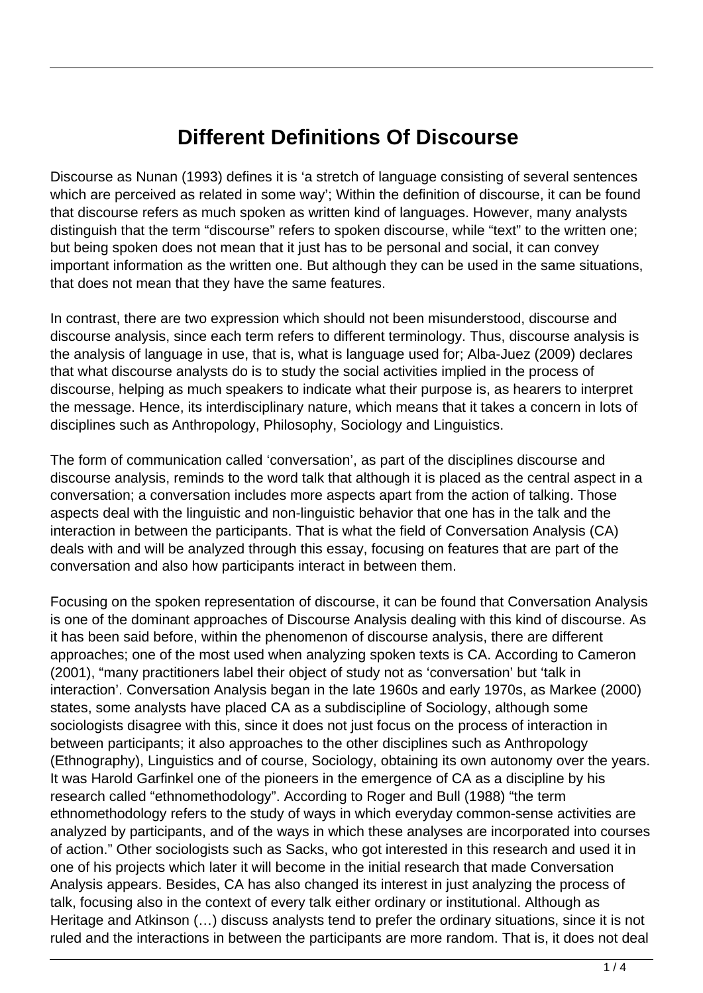## **Different Definitions Of Discourse**

Discourse as Nunan (1993) defines it is 'a stretch of language consisting of several sentences which are perceived as related in some way'; Within the definition of discourse, it can be found that discourse refers as much spoken as written kind of languages. However, many analysts distinguish that the term "discourse" refers to spoken discourse, while "text" to the written one; but being spoken does not mean that it just has to be personal and social, it can convey important information as the written one. But although they can be used in the same situations, that does not mean that they have the same features.

In contrast, there are two expression which should not been misunderstood, discourse and discourse analysis, since each term refers to different terminology. Thus, discourse analysis is the analysis of language in use, that is, what is language used for; Alba-Juez (2009) declares that what discourse analysts do is to study the social activities implied in the process of discourse, helping as much speakers to indicate what their purpose is, as hearers to interpret the message. Hence, its interdisciplinary nature, which means that it takes a concern in lots of disciplines such as Anthropology, Philosophy, Sociology and Linguistics.

The form of communication called 'conversation', as part of the disciplines discourse and discourse analysis, reminds to the word talk that although it is placed as the central aspect in a conversation; a conversation includes more aspects apart from the action of talking. Those aspects deal with the linguistic and non-linguistic behavior that one has in the talk and the interaction in between the participants. That is what the field of Conversation Analysis (CA) deals with and will be analyzed through this essay, focusing on features that are part of the conversation and also how participants interact in between them.

Focusing on the spoken representation of discourse, it can be found that Conversation Analysis is one of the dominant approaches of Discourse Analysis dealing with this kind of discourse. As it has been said before, within the phenomenon of discourse analysis, there are different approaches; one of the most used when analyzing spoken texts is CA. According to Cameron (2001), "many practitioners label their object of study not as 'conversation' but 'talk in interaction'. Conversation Analysis began in the late 1960s and early 1970s, as Markee (2000) states, some analysts have placed CA as a subdiscipline of Sociology, although some sociologists disagree with this, since it does not just focus on the process of interaction in between participants; it also approaches to the other disciplines such as Anthropology (Ethnography), Linguistics and of course, Sociology, obtaining its own autonomy over the years. It was Harold Garfinkel one of the pioneers in the emergence of CA as a discipline by his research called "ethnomethodology". According to Roger and Bull (1988) "the term ethnomethodology refers to the study of ways in which everyday common-sense activities are analyzed by participants, and of the ways in which these analyses are incorporated into courses of action." Other sociologists such as Sacks, who got interested in this research and used it in one of his projects which later it will become in the initial research that made Conversation Analysis appears. Besides, CA has also changed its interest in just analyzing the process of talk, focusing also in the context of every talk either ordinary or institutional. Although as Heritage and Atkinson (…) discuss analysts tend to prefer the ordinary situations, since it is not ruled and the interactions in between the participants are more random. That is, it does not deal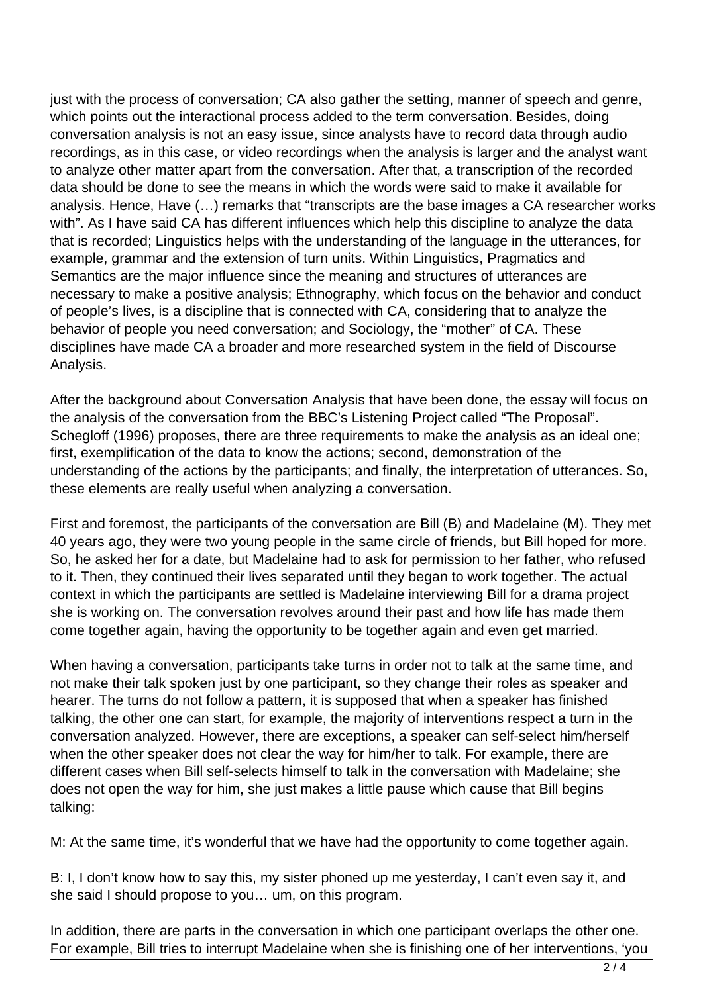just with the process of conversation; CA also gather the setting, manner of speech and genre, which points out the interactional process added to the term conversation. Besides, doing conversation analysis is not an easy issue, since analysts have to record data through audio recordings, as in this case, or video recordings when the analysis is larger and the analyst want to analyze other matter apart from the conversation. After that, a transcription of the recorded data should be done to see the means in which the words were said to make it available for analysis. Hence, Have (…) remarks that "transcripts are the base images a CA researcher works with". As I have said CA has different influences which help this discipline to analyze the data that is recorded; Linguistics helps with the understanding of the language in the utterances, for example, grammar and the extension of turn units. Within Linguistics, Pragmatics and Semantics are the major influence since the meaning and structures of utterances are necessary to make a positive analysis; Ethnography, which focus on the behavior and conduct of people's lives, is a discipline that is connected with CA, considering that to analyze the behavior of people you need conversation; and Sociology, the "mother" of CA. These disciplines have made CA a broader and more researched system in the field of Discourse Analysis.

After the background about Conversation Analysis that have been done, the essay will focus on the analysis of the conversation from the BBC's Listening Project called "The Proposal". Schegloff (1996) proposes, there are three requirements to make the analysis as an ideal one; first, exemplification of the data to know the actions; second, demonstration of the understanding of the actions by the participants; and finally, the interpretation of utterances. So, these elements are really useful when analyzing a conversation.

First and foremost, the participants of the conversation are Bill (B) and Madelaine (M). They met 40 years ago, they were two young people in the same circle of friends, but Bill hoped for more. So, he asked her for a date, but Madelaine had to ask for permission to her father, who refused to it. Then, they continued their lives separated until they began to work together. The actual context in which the participants are settled is Madelaine interviewing Bill for a drama project she is working on. The conversation revolves around their past and how life has made them come together again, having the opportunity to be together again and even get married.

When having a conversation, participants take turns in order not to talk at the same time, and not make their talk spoken just by one participant, so they change their roles as speaker and hearer. The turns do not follow a pattern, it is supposed that when a speaker has finished talking, the other one can start, for example, the majority of interventions respect a turn in the conversation analyzed. However, there are exceptions, a speaker can self-select him/herself when the other speaker does not clear the way for him/her to talk. For example, there are different cases when Bill self-selects himself to talk in the conversation with Madelaine; she does not open the way for him, she just makes a little pause which cause that Bill begins talking:

M: At the same time, it's wonderful that we have had the opportunity to come together again.

B: I, I don't know how to say this, my sister phoned up me yesterday, I can't even say it, and she said I should propose to you… um, on this program.

In addition, there are parts in the conversation in which one participant overlaps the other one. For example, Bill tries to interrupt Madelaine when she is finishing one of her interventions, 'you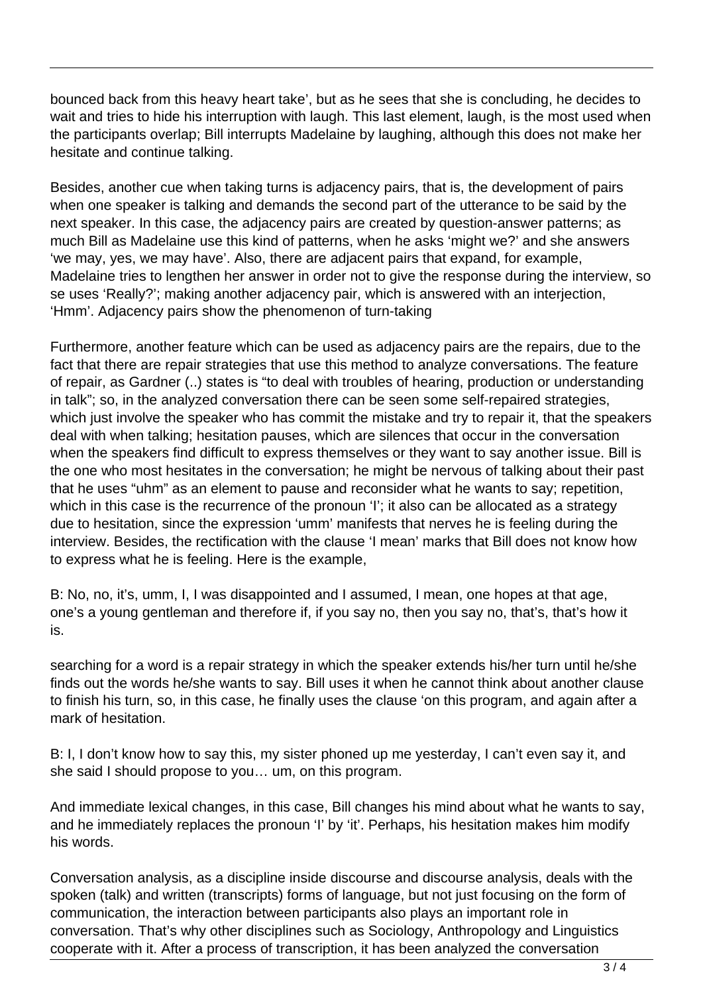bounced back from this heavy heart take', but as he sees that she is concluding, he decides to wait and tries to hide his interruption with laugh. This last element, laugh, is the most used when the participants overlap; Bill interrupts Madelaine by laughing, although this does not make her hesitate and continue talking.

Besides, another cue when taking turns is adjacency pairs, that is, the development of pairs when one speaker is talking and demands the second part of the utterance to be said by the next speaker. In this case, the adjacency pairs are created by question-answer patterns; as much Bill as Madelaine use this kind of patterns, when he asks 'might we?' and she answers 'we may, yes, we may have'. Also, there are adjacent pairs that expand, for example, Madelaine tries to lengthen her answer in order not to give the response during the interview, so se uses 'Really?'; making another adjacency pair, which is answered with an interjection, 'Hmm'. Adjacency pairs show the phenomenon of turn-taking

Furthermore, another feature which can be used as adjacency pairs are the repairs, due to the fact that there are repair strategies that use this method to analyze conversations. The feature of repair, as Gardner (..) states is "to deal with troubles of hearing, production or understanding in talk"; so, in the analyzed conversation there can be seen some self-repaired strategies, which just involve the speaker who has commit the mistake and try to repair it, that the speakers deal with when talking; hesitation pauses, which are silences that occur in the conversation when the speakers find difficult to express themselves or they want to say another issue. Bill is the one who most hesitates in the conversation; he might be nervous of talking about their past that he uses "uhm" as an element to pause and reconsider what he wants to say; repetition, which in this case is the recurrence of the pronoun 'I'; it also can be allocated as a strategy due to hesitation, since the expression 'umm' manifests that nerves he is feeling during the interview. Besides, the rectification with the clause 'I mean' marks that Bill does not know how to express what he is feeling. Here is the example,

B: No, no, it's, umm, I, I was disappointed and I assumed, I mean, one hopes at that age, one's a young gentleman and therefore if, if you say no, then you say no, that's, that's how it is.

searching for a word is a repair strategy in which the speaker extends his/her turn until he/she finds out the words he/she wants to say. Bill uses it when he cannot think about another clause to finish his turn, so, in this case, he finally uses the clause 'on this program, and again after a mark of hesitation.

B: I, I don't know how to say this, my sister phoned up me yesterday, I can't even say it, and she said I should propose to you… um, on this program.

And immediate lexical changes, in this case, Bill changes his mind about what he wants to say, and he immediately replaces the pronoun 'I' by 'it'. Perhaps, his hesitation makes him modify his words.

Conversation analysis, as a discipline inside discourse and discourse analysis, deals with the spoken (talk) and written (transcripts) forms of language, but not just focusing on the form of communication, the interaction between participants also plays an important role in conversation. That's why other disciplines such as Sociology, Anthropology and Linguistics cooperate with it. After a process of transcription, it has been analyzed the conversation